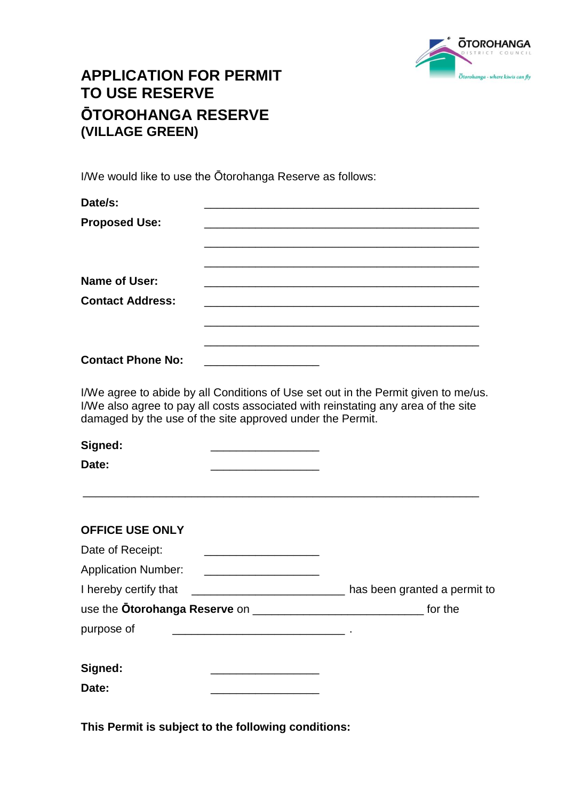

## **APPLICATION FOR PERMIT TO USE RESERVE ŌTOROHANGA RESERVE (VILLAGE GREEN)**

I/We would like to use the Ōtorohanga Reserve as follows:

| Date/s:                  |                                                                 |
|--------------------------|-----------------------------------------------------------------|
| <b>Proposed Use:</b>     | the contract of the contract of the contract of the contract of |
| <b>Name of User:</b>     |                                                                 |
| <b>Contact Address:</b>  |                                                                 |
| <b>Contact Phone No:</b> |                                                                 |

I/We agree to abide by all Conditions of Use set out in the Permit given to me/us. I/We also agree to pay all costs associated with reinstating any area of the site damaged by the use of the site approved under the Permit.

\_\_\_\_\_\_\_\_\_\_\_\_\_\_\_\_\_\_\_\_\_\_\_\_\_\_\_\_\_\_\_\_\_\_\_\_\_\_\_\_\_\_\_\_\_\_\_\_\_\_\_\_\_\_\_\_\_\_\_\_\_\_

**Signed:** \_\_\_\_\_\_\_\_\_\_\_\_\_\_\_\_\_ **Date:** \_\_\_\_\_\_\_\_\_\_\_\_\_\_\_\_\_

| <b>OFFICE USE ONLY</b>                             |                              |
|----------------------------------------------------|------------------------------|
| Date of Receipt:                                   |                              |
| <b>Application Number:</b>                         |                              |
| I hereby certify that ____________________________ | has been granted a permit to |
|                                                    | for the                      |
| purpose of                                         |                              |
| Signed:                                            |                              |
| Date:                                              |                              |
|                                                    |                              |

**This Permit is subject to the following conditions:**